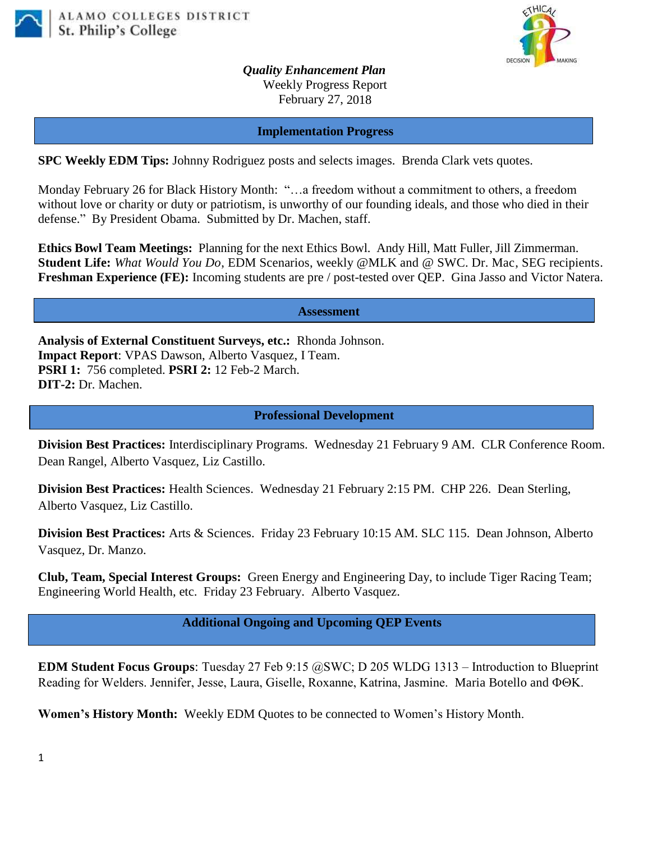



*Quality Enhancement Plan* Weekly Progress Report February 27, 2018

**Implementation Progress**

**SPC Weekly EDM Tips:** Johnny Rodriguez posts and selects images. Brenda Clark vets quotes.

Monday February 26 for Black History Month: "…a freedom without a commitment to others, a freedom without love or charity or duty or patriotism, is unworthy of our founding ideals, and those who died in their defense." By President Obama. Submitted by Dr. Machen, staff.

**Ethics Bowl Team Meetings:** Planning for the next Ethics Bowl.Andy Hill, Matt Fuller, Jill Zimmerman. **Student Life:** *What Would You Do*, EDM Scenarios, weekly @MLK and @ SWC. Dr. Mac, SEG recipients. **Freshman Experience (FE):** Incoming students are pre / post-tested over QEP. Gina Jasso and Victor Natera.

**Assessment**

**Analysis of External Constituent Surveys, etc.:** Rhonda Johnson. **Impact Report**: VPAS Dawson, Alberto Vasquez, I Team. **PSRI 1:** 756 completed. **PSRI 2:** 12 Feb-2 March. **DIT-2:** Dr. Machen.

## **Professional Development**

**Division Best Practices:** Interdisciplinary Programs. Wednesday 21 February 9 AM. CLR Conference Room. Dean Rangel, Alberto Vasquez, Liz Castillo.

**Division Best Practices:** Health Sciences. Wednesday 21 February 2:15 PM. CHP 226. Dean Sterling, Alberto Vasquez, Liz Castillo.

**Division Best Practices:** Arts & Sciences. Friday 23 February 10:15 AM. SLC 115. Dean Johnson, Alberto Vasquez, Dr. Manzo.

**Club, Team, Special Interest Groups:** Green Energy and Engineering Day, to include Tiger Racing Team; Engineering World Health, etc. Friday 23 February. Alberto Vasquez.

**Additional Ongoing and Upcoming QEP Events**

**EDM Student Focus Groups**: Tuesday 27 Feb 9:15 @SWC; D 205 WLDG 1313 – Introduction to Blueprint Reading for Welders. Jennifer, Jesse, Laura, Giselle, Roxanne, Katrina, Jasmine. Maria Botello and  $\Phi\Theta K$ .

**Women's History Month:** Weekly EDM Quotes to be connected to Women's History Month.